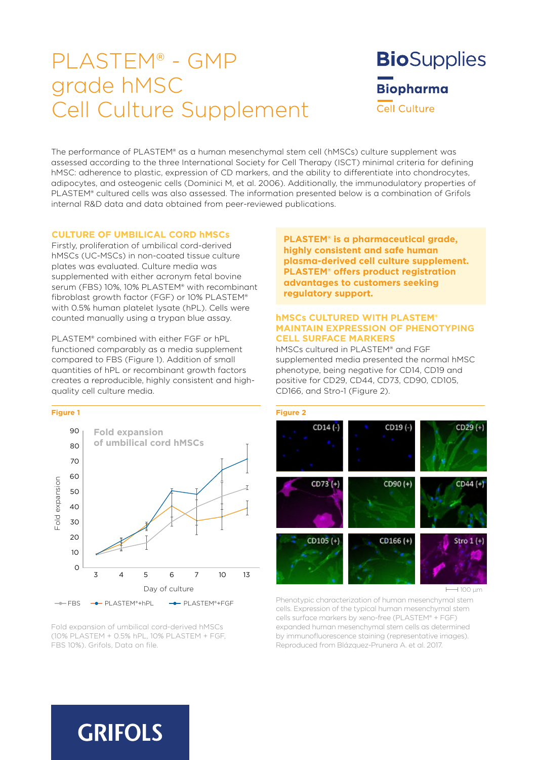# PLASTEM® - GMP grade hMSC Cell Culture Supplement

**Bio**Supplies **Biopharma Cell Culture** 

The performance of PLASTEM® as a human mesenchymal stem cell (hMSCs) culture supplement was assessed according to the three International Society for Cell Therapy (ISCT) minimal criteria for defining hMSC: adherence to plastic, expression of CD markers, and the ability to differentiate into chondrocytes, adipocytes, and osteogenic cells (Dominici M, et al. 2006). Additionally, the immunodulatory properties of PLASTEM® cultured cells was also assessed. The information presented below is a combination of Grifols internal R&D data and data obtained from peer-reviewed publications.

### **CULTURE OF UMBILICAL CORD hMSCs**

Firstly, proliferation of umbilical cord-derived hMSCs (UC-MSCs) in non-coated tissue culture plates was evaluated. Culture media was supplemented with either acronym fetal bovine serum (FBS) 10%, 10% PLASTEM® with recombinant fibroblast growth factor (FGF) or 10% PLASTEM® with 0.5% human platelet lysate (hPL). Cells were counted manually using a trypan blue assay.

PLASTEM® combined with either FGF or hPL functioned comparably as a media supplement compared to FBS (Figure 1). Addition of small quantities of hPL or recombinant growth factors creates a reproducible, highly consistent and highquality cell culture media.



Fold expansion of umbilical cord-derived hMSCs (10% PLASTEM + 0.5% hPL, 10% PLASTEM + FGF, FBS 10%). Grifols, Data on file.

**PLASTEM® is a pharmaceutical grade, highly consistent and safe human plasma-derived cell culture supplement. PLASTEM® offers product registration advantages to customers seeking regulatory support.**

### **hMSCs CULTURED WITH PLASTEM® MAINTAIN EXPRESSION OF PHENOTYPING CELL SURFACE MARKERS**

hMSCs cultured in PLASTEM® and FGF supplemented media presented the normal hMSC phenotype, being negative for CD14, CD19 and positive for CD29, CD44, CD73, CD90, CD105, CD166, and Stro-1 (Figure 2).



**100 µm** 

Phenotypic characterization of human mesenchymal stem cells. Expression of the typical human mesenchymal stem cells surface markers by xeno-free (PLASTEM® + FGF) expanded human mesenchymal stem cells as determined by immunofluorescence staining (representative images). Reproduced from Blázquez-Prunera A. et al. 2017.

# **GRIFOLS**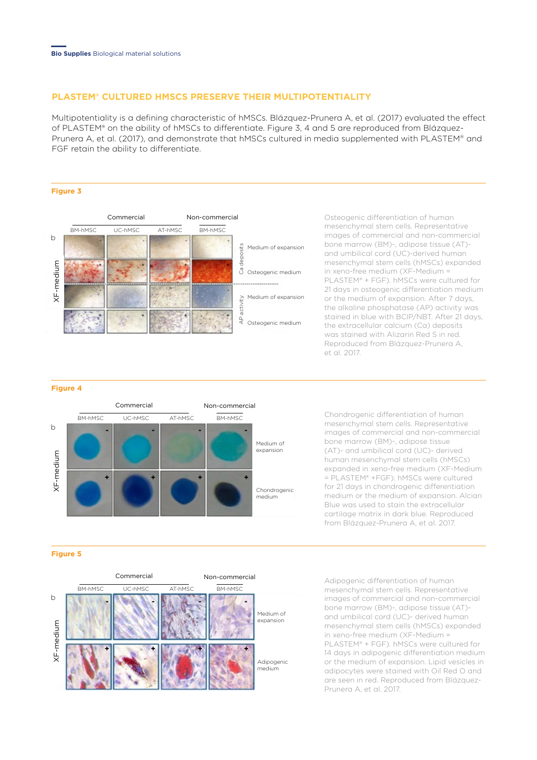# **PLASTEM® CULTURED HMSCS PRESERVE THEIR MULTIPOTENTIALITY**

Multipotentiality is a defining characteristic of hMSCs. Blázquez-Prunera A, et al. (2017) evaluated the effect of PLASTEM® on the ability of hMSCs to differentiate. Figure 3, 4 and 5 are reproduced from Blázquez-Prunera A, et al. (2017), and demonstrate that hMSCs cultured in media supplemented with PLASTEM® and FGF retain the ability to differentiate.

#### **Figure 3**



Osteogenic differentiation of human mesenchymal stem cells. Representative images of commercial and non-commercial bone marrow (BM)-, adipose tissue (AT) and umbilical cord (UC)-derived human mesenchymal stem cells (hMSCs) expanded in xeno-free medium (XF-Medium = PLASTEM® + FGF). hMSCs were cultured for 21 days in osteogenic differentiation medium or the medium of expansion. After 7 days, the alkaline phosphatase (AP) activity was stained in blue with BCIP/NBT. After 21 days, the extracellular calcium (Ca) deposits was stained with Alizarin Red S in red. Reproduced from Blázquez-Prunera A, et al. 2017.

#### **Figure 4**



Chondrogenic differentiation of human mesenchymal stem cells. Representative images of commercial and non-commercial bone marrow (BM)-, adipose tissue (AT)- and umbilical cord (UC)- derived human mesenchymal stem cells (hMSCs) expanded in xeno-free medium (XF-Medium = PLASTEM® +FGF). hMSCs were cultured for 21 days in chondrogenic differentiation medium or the medium of expansion. Alcian Blue was used to stain the extracellular cartilage matrix in dark blue. Reproduced from Blázquez-Prunera A, et al. 2017.

#### **Figure 5**



Adipogenic differentiation of human mesenchymal stem cells. Representative images of commercial and non-commercial bone marrow (BM)-, adipose tissue (AT) and umbilical cord (UC)- derived human mesenchymal stem cells (hMSCs) expanded in xeno-free medium (XF-Medium = PLASTEM® + FGF). hMSCs were cultured for 14 days in adipogenic differentiation medium or the medium of expansion. Lipid vesicles in adipocytes were stained with Oil Red O and are seen in red. Reproduced from Blázquez-Prunera A, et al. 2017.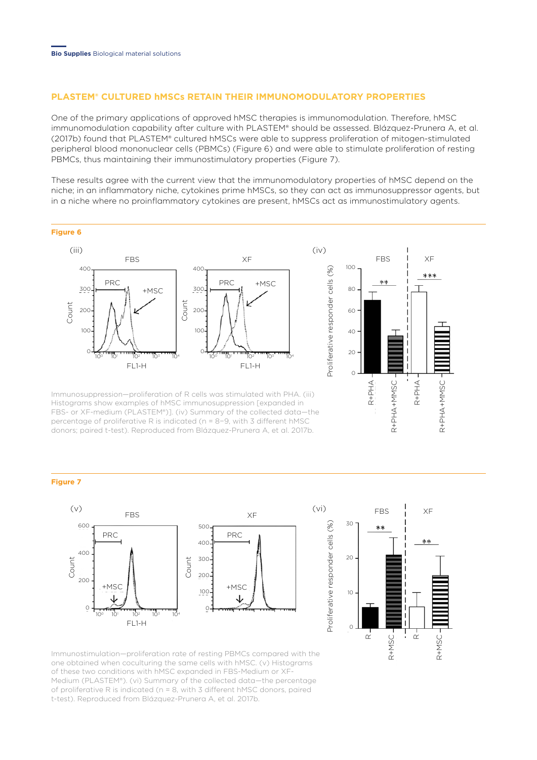# **PLASTEM® CULTURED hMSCs RETAIN THEIR IMMUNOMODULATORY PROPERTIES**

One of the primary applications of approved hMSC therapies is immunomodulation. Therefore, hMSC immunomodulation capability after culture with PLASTEM® should be assessed. Blázquez-Prunera A, et al. (2017b) found that PLASTEM® cultured hMSCs were able to suppress proliferation of mitogen-stimulated peripheral blood mononuclear cells (PBMCs) (Figure 6) and were able to stimulate proliferation of resting PBMCs, thus maintaining their immunostimulatory properties (Figure 7).

These results agree with the current view that the immunomodulatory properties of hMSC depend on the niche; in an inflammatory niche, cytokines prime hMSCs, so they can act as immunosuppressor agents, but in a niche where no proinflammatory cytokines are present, hMSCs act as immunostimulatory agents.



Immunosuppression—proliferation of R cells was stimulated with PHA. (iii) Histograms show examples of hMSC immunosuppression [expanded in FBS- or XF-medium (PLASTEM®)]. (iv) Summary of the collected data—the percentage of proliferative R is indicated (n = 8−9, with 3 different hMSC donors; paired t-test). Reproduced from Blázquez-Prunera A, et al. 2017b.

#### **Figure 7**





Immunostimulation—proliferation rate of resting PBMCs compared with the one obtained when coculturing the same cells with hMSC. (v) Histograms of these two conditions with hMSC expanded in FBS-Medium or XF-Medium (PLASTEM®). (vi) Summary of the collected data—the percentage of proliferative R is indicated (n = 8, with 3 different hMSC donors, paired t-test). Reproduced from Blázquez-Prunera A, et al. 2017b.